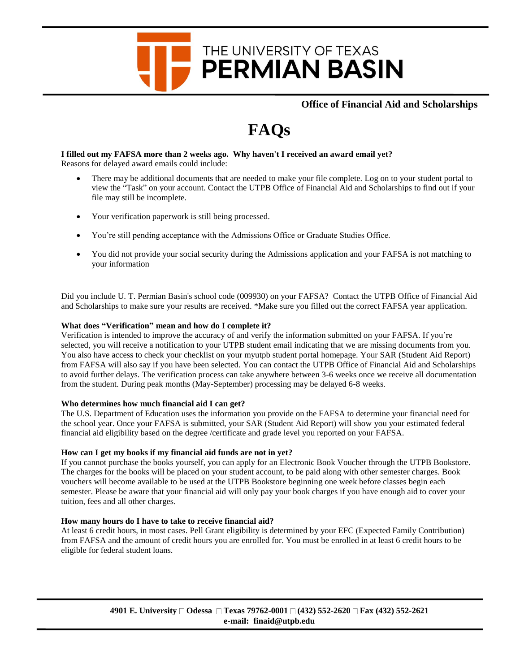# THE UNIVERSITY OF TEXAS **PERMIAN BASIN**

**Office of Financial Aid and Scholarships**

# **FAQs**

#### **I filled out my FAFSA more than 2 weeks ago. Why haven't I received an award email yet?** Reasons for delayed award emails could include:

- There may be additional documents that are needed to make your file complete. Log on to your student portal to view the "Task" on your account. Contact the UTPB Office of Financial Aid and Scholarships to find out if your file may still be incomplete.
- Your verification paperwork is still being processed.
- You're still pending acceptance with the Admissions Office or Graduate Studies Office.
- You did not provide your social security during the Admissions application and your FAFSA is not matching to your information

Did you include U. T. Permian Basin's school code (009930) on your FAFSA? Contact the UTPB Office of Financial Aid and Scholarships to make sure your results are received. \*Make sure you filled out the correct FAFSA year application.

# **What does "Verification" mean and how do I complete it?**

Verification is intended to improve the accuracy of and verify the information submitted on your FAFSA. If you're selected, you will receive a notification to your UTPB student email indicating that we are missing documents from you. You also have access to check your checklist on your myutpb student portal homepage. Your SAR (Student Aid Report) from FAFSA will also say if you have been selected. You can contact the UTPB Office of Financial Aid and Scholarships to avoid further delays. The verification process can take anywhere between 3-6 weeks once we receive all documentation from the student. During peak months (May-September) processing may be delayed 6-8 weeks.

# **Who determines how much financial aid I can get?**

The U.S. Department of Education uses the information you provide on the FAFSA to determine your financial need for the school year. Once your FAFSA is submitted, your SAR (Student Aid Report) will show you your estimated federal financial aid eligibility based on the degree /certificate and grade level you reported on your FAFSA.

# **How can I get my books if my financial aid funds are not in yet?**

If you cannot purchase the books yourself, you can apply for an Electronic Book Voucher through the UTPB Bookstore. The charges for the books will be placed on your student account, to be paid along with other semester charges. Book vouchers will become available to be used at the UTPB Bookstore beginning one week before classes begin each semester. Please be aware that your financial aid will only pay your book charges if you have enough aid to cover your tuition, fees and all other charges.

# **How many hours do I have to take to receive financial aid?**

At least 6 credit hours, in most cases. Pell Grant eligibility is determined by your EFC (Expected Family Contribution) from FAFSA and the amount of credit hours you are enrolled for. You must be enrolled in at least 6 credit hours to be eligible for federal student loans.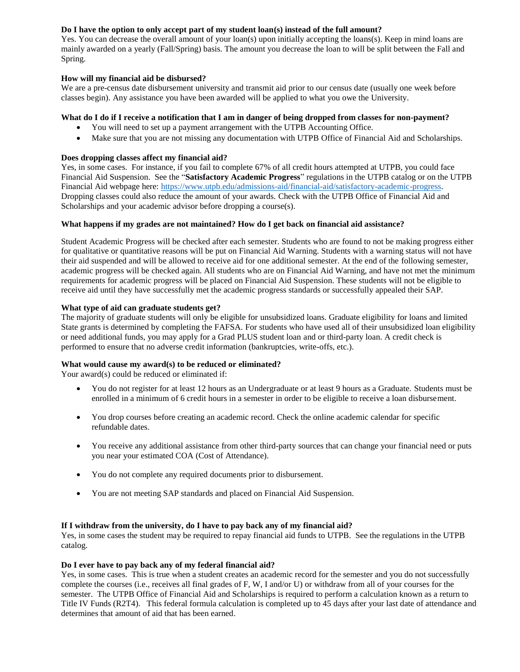# **Do I have the option to only accept part of my student loan(s) instead of the full amount?**

Yes. You can decrease the overall amount of your loan(s) upon initially accepting the loans(s). Keep in mind loans are mainly awarded on a yearly (Fall/Spring) basis. The amount you decrease the loan to will be split between the Fall and Spring.

# **How will my financial aid be disbursed?**

We are a pre-census date disbursement university and transmit aid prior to our census date (usually one week before classes begin). Any assistance you have been awarded will be applied to what you owe the University.

## **What do I do if I receive a notification that I am in danger of being dropped from classes for non-payment?**

- You will need to set up a payment arrangement with the UTPB Accounting Office.
- Make sure that you are not missing any documentation with UTPB Office of Financial Aid and Scholarships.

#### **Does dropping classes affect my financial aid?**

Yes, in some cases. For instance, if you fail to complete 67% of all credit hours attempted at UTPB, you could face Financial Aid Suspension. See the "**Satisfactory Academic Progress**" regulations in the UTPB catalog or on the UTPB Financial Aid webpage here[: https://www.utpb.edu/admissions-aid/financial-aid/satisfactory-academic-progress.](https://www.utpb.edu/admissions-aid/financial-aid/satisfactory-academic-progress) Dropping classes could also reduce the amount of your awards. Check with the UTPB Office of Financial Aid and Scholarships and your academic advisor before dropping a course(s).

#### **What happens if my grades are not maintained? How do I get back on financial aid assistance?**

Student Academic Progress will be checked after each semester. Students who are found to not be making progress either for qualitative or quantitative reasons will be put on Financial Aid Warning. Students with a warning status will not have their aid suspended and will be allowed to receive aid for one additional semester. At the end of the following semester, academic progress will be checked again. All students who are on Financial Aid Warning, and have not met the minimum requirements for academic progress will be placed on Financial Aid Suspension. These students will not be eligible to receive aid until they have successfully met the academic progress standards or successfully appealed their SAP.

#### **What type of aid can graduate students get?**

The majority of graduate students will only be eligible for unsubsidized loans. Graduate eligibility for loans and limited State grants is determined by completing the FAFSA. For students who have used all of their unsubsidized loan eligibility or need additional funds, you may apply for a Grad PLUS student loan and or third-party loan. A credit check is performed to ensure that no adverse credit information (bankruptcies, write-offs, etc.).

# **What would cause my award(s) to be reduced or eliminated?**

Your award(s) could be reduced or eliminated if:

- You do not register for at least 12 hours as an Undergraduate or at least 9 hours as a Graduate. Students must be enrolled in a minimum of 6 credit hours in a semester in order to be eligible to receive a loan disbursement.
- You drop courses before creating an academic record. Check the online academic calendar for specific refundable dates.
- You receive any additional assistance from other third-party sources that can change your financial need or puts you near your estimated COA (Cost of Attendance).
- You do not complete any required documents prior to disbursement.
- You are not meeting SAP standards and placed on Financial Aid Suspension.

# **If I withdraw from the university, do I have to pay back any of my financial aid?**

Yes, in some cases the student may be required to repay financial aid funds to UTPB. See the regulations in the UTPB catalog.

### **Do I ever have to pay back any of my federal financial aid?**

Yes, in some cases. This is true when a student creates an academic record for the semester and you do not successfully complete the courses (i.e., receives all final grades of F, W, I and/or U) or withdraw from all of your courses for the semester. The UTPB Office of Financial Aid and Scholarships is required to perform a calculation known as a return to Title IV Funds (R2T4). This federal formula calculation is completed up to 45 days after your last date of attendance and determines that amount of aid that has been earned.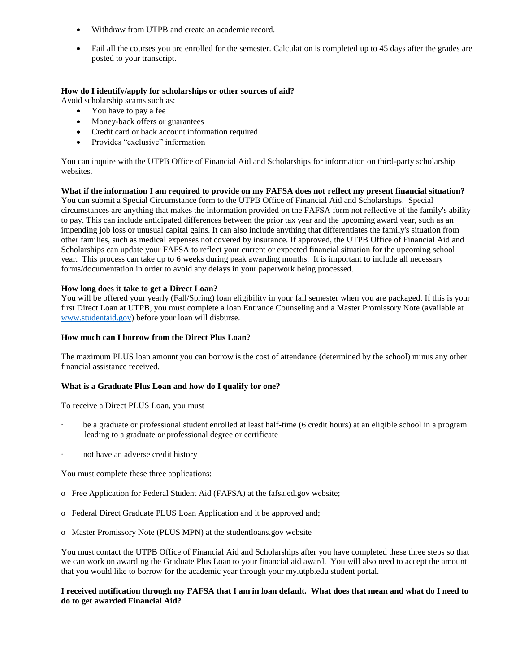- Withdraw from UTPB and create an academic record.
- Fail all the courses you are enrolled for the semester. Calculation is completed up to 45 days after the grades are posted to your transcript.

## **How do I identify/apply for scholarships or other sources of aid?**

Avoid scholarship scams such as:

- You have to pay a fee
- Money-back offers or guarantees
- Credit card or back account information required
- Provides "exclusive" information

You can inquire with the UTPB Office of Financial Aid and Scholarships for information on third-party scholarship websites.

**What if the information I am required to provide on my FAFSA does not reflect my present financial situation?** You can submit a Special Circumstance form to the UTPB Office of Financial Aid and Scholarships. Special circumstances are anything that makes the information provided on the FAFSA form not reflective of the family's ability to pay. This can include anticipated differences between the prior tax year and the upcoming award year, such as an impending job loss or unusual capital gains. It can also include anything that differentiates the family's situation from other families, such as medical expenses not covered by insurance. If approved, the UTPB Office of Financial Aid and Scholarships can update your FAFSA to reflect your current or expected financial situation for the upcoming school year. This process can take up to 6 weeks during peak awarding months. It is important to include all necessary forms/documentation in order to avoid any delays in your paperwork being processed.

#### **How long does it take to get a Direct Loan?**

You will be offered your yearly (Fall/Spring) loan eligibility in your fall semester when you are packaged. If this is your first Direct Loan at UTPB, you must complete a loan Entrance Counseling and a Master Promissory Note (available at [www.studentaid.gov\)](http://www.studentaid.gov/) before your loan will disburse.

## **How much can I borrow from the Direct Plus Loan?**

The maximum PLUS loan amount you can borrow is the cost of attendance (determined by the school) minus any other financial assistance received.

# **What is a Graduate Plus Loan and how do I qualify for one?**

To receive a Direct PLUS Loan, you must

- be a graduate or professional student enrolled at least half-time (6 credit hours) at an eligible school in a program leading to a graduate or professional degree or certificate
- not have an adverse credit history

You must complete these three applications:

- o Free Application for Federal Student Aid (FAFSA) at the fafsa.ed.gov website;
- o Federal Direct Graduate PLUS Loan Application and it be approved and;
- o Master Promissory Note (PLUS MPN) at the studentloans.gov website

You must contact the UTPB Office of Financial Aid and Scholarships after you have completed these three steps so that we can work on awarding the Graduate Plus Loan to your financial aid award. You will also need to accept the amount that you would like to borrow for the academic year through your my.utpb.edu student portal.

#### **I received notification through my FAFSA that I am in loan default. What does that mean and what do I need to do to get awarded Financial Aid?**